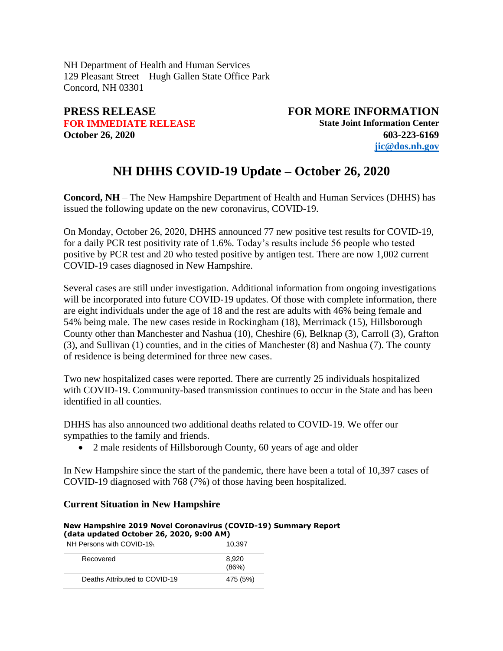NH Department of Health and Human Services 129 Pleasant Street – Hugh Gallen State Office Park Concord, NH 03301

**PRESS RELEASE FOR MORE INFORMATION FOR IMMEDIATE RELEASE State Joint Information Center October 26, 2020 603-223-6169 [jic@dos.nh.gov](mailto:jic@dos.nh.gov)**

## **NH DHHS COVID-19 Update – October 26, 2020**

**Concord, NH** – The New Hampshire Department of Health and Human Services (DHHS) has issued the following update on the new coronavirus, COVID-19.

On Monday, October 26, 2020, DHHS announced 77 new positive test results for COVID-19, for a daily PCR test positivity rate of 1.6%. Today's results include 56 people who tested positive by PCR test and 20 who tested positive by antigen test. There are now 1,002 current COVID-19 cases diagnosed in New Hampshire.

Several cases are still under investigation. Additional information from ongoing investigations will be incorporated into future COVID-19 updates. Of those with complete information, there are eight individuals under the age of 18 and the rest are adults with 46% being female and 54% being male. The new cases reside in Rockingham (18), Merrimack (15), Hillsborough County other than Manchester and Nashua (10), Cheshire (6), Belknap (3), Carroll (3), Grafton (3), and Sullivan (1) counties, and in the cities of Manchester (8) and Nashua (7). The county of residence is being determined for three new cases.

Two new hospitalized cases were reported. There are currently 25 individuals hospitalized with COVID-19. Community-based transmission continues to occur in the State and has been identified in all counties.

DHHS has also announced two additional deaths related to COVID-19. We offer our sympathies to the family and friends.

• 2 male residents of Hillsborough County, 60 years of age and older

In New Hampshire since the start of the pandemic, there have been a total of 10,397 cases of COVID-19 diagnosed with 768 (7%) of those having been hospitalized.

## **Current Situation in New Hampshire**

## **New Hampshire 2019 Novel Coronavirus (COVID-19) Summary Report (data updated October 26, 2020, 9:00 AM)**

NH Persons with COVID-19<sub>1</sub> 2004 10,397

| Recovered                     | 8.920<br>(86%) |
|-------------------------------|----------------|
| Deaths Attributed to COVID-19 | 475 (5%)       |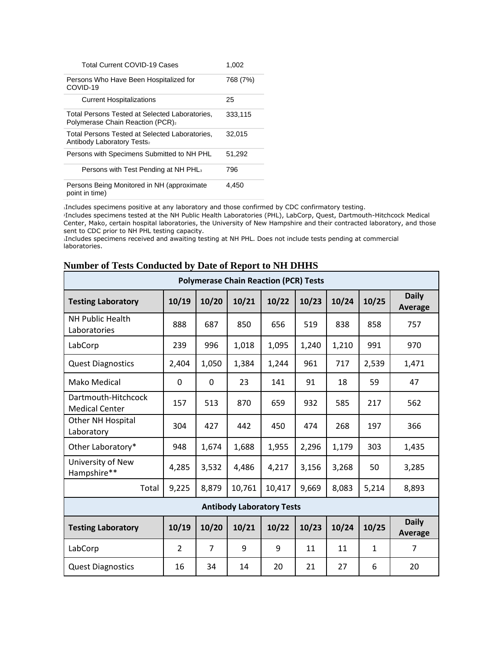| <b>Total Current COVID-19 Cases</b>                                                             | 1,002    |
|-------------------------------------------------------------------------------------------------|----------|
| Persons Who Have Been Hospitalized for<br>COVID-19                                              | 768 (7%) |
| <b>Current Hospitalizations</b>                                                                 | 25       |
| Total Persons Tested at Selected Laboratories,<br>Polymerase Chain Reaction (PCR) <sub>2</sub>  | 333,115  |
| Total Persons Tested at Selected Laboratories.<br><b>Antibody Laboratory Tests</b> <sub>2</sub> | 32.015   |
| Persons with Specimens Submitted to NH PHL                                                      | 51.292   |
| Persons with Test Pending at NH PHL <sub>3</sub>                                                | 796      |
| Persons Being Monitored in NH (approximate<br>point in time)                                    | 4.450    |

<sup>1</sup>Includes specimens positive at any laboratory and those confirmed by CDC confirmatory testing.

<sup>2</sup>Includes specimens tested at the NH Public Health Laboratories (PHL), LabCorp, Quest, Dartmouth-Hitchcock Medical Center, Mako, certain hospital laboratories, the University of New Hampshire and their contracted laboratory, and those sent to CDC prior to NH PHL testing capacity.

<sup>3</sup>Includes specimens received and awaiting testing at NH PHL. Does not include tests pending at commercial laboratories.

| <b>Polymerase Chain Reaction (PCR) Tests</b> |                |                |        |        |       |       |              |                         |  |
|----------------------------------------------|----------------|----------------|--------|--------|-------|-------|--------------|-------------------------|--|
| <b>Testing Laboratory</b>                    | 10/19          | 10/20          | 10/21  | 10/22  | 10/23 | 10/24 | 10/25        | <b>Daily</b><br>Average |  |
| <b>NH Public Health</b><br>Laboratories      | 888            | 687            | 850    | 656    | 519   | 838   | 858          | 757                     |  |
| LabCorp                                      | 239            | 996            | 1,018  | 1,095  | 1,240 | 1,210 | 991          | 970                     |  |
| <b>Quest Diagnostics</b>                     | 2,404          | 1,050          | 1,384  | 1,244  | 961   | 717   | 2,539        | 1,471                   |  |
| Mako Medical                                 | 0              | 0              | 23     | 141    | 91    | 18    | 59           | 47                      |  |
| Dartmouth-Hitchcock<br><b>Medical Center</b> | 157            | 513            | 870    | 659    | 932   | 585   | 217          | 562                     |  |
| Other NH Hospital<br>Laboratory              | 304            | 427            | 442    | 450    | 474   | 268   | 197          | 366                     |  |
| Other Laboratory*                            | 948            | 1,674          | 1,688  | 1,955  | 2,296 | 1,179 | 303          | 1,435                   |  |
| University of New<br>Hampshire**             | 4,285          | 3,532          | 4,486  | 4,217  | 3,156 | 3,268 | 50           | 3,285                   |  |
| Total                                        | 9,225          | 8,879          | 10,761 | 10,417 | 9,669 | 8,083 | 5,214        | 8,893                   |  |
| <b>Antibody Laboratory Tests</b>             |                |                |        |        |       |       |              |                         |  |
| <b>Testing Laboratory</b>                    | 10/19          | 10/20          | 10/21  | 10/22  | 10/23 | 10/24 | 10/25        | <b>Daily</b><br>Average |  |
| LabCorp                                      | $\overline{2}$ | $\overline{7}$ | 9      | 9      | 11    | 11    | $\mathbf{1}$ | $\overline{7}$          |  |
| <b>Quest Diagnostics</b>                     | 16             | 34             | 14     | 20     | 21    | 27    | 6            | 20                      |  |

## **Number of Tests Conducted by Date of Report to NH DHHS**